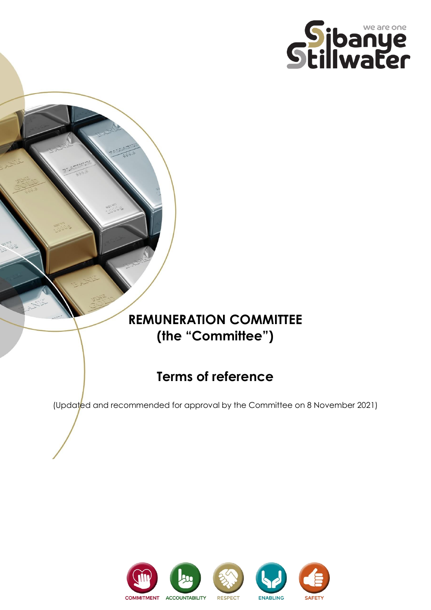

# **REMUNERATION COMMITTEE (the "Committee")**

# **Terms of reference**

(Updated and recommended for approval by the Committee on 8 November 2021)

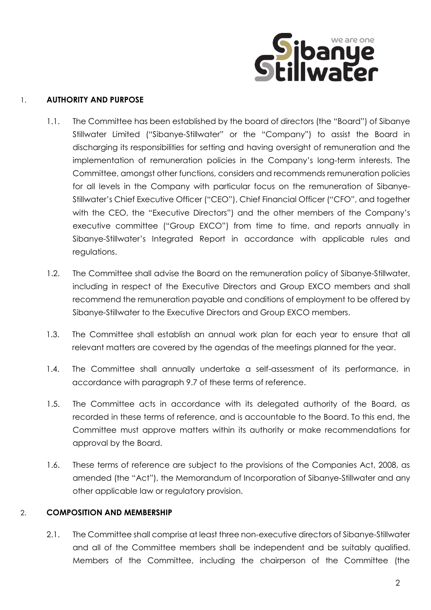

### 1. **AUTHORITY AND PURPOSE**

- 1.1. The Committee has been established by the board of directors (the "Board") of Sibanye Stillwater Limited ("Sibanye-Stillwater" or the "Company") to assist the Board in discharging its responsibilities for setting and having oversight of remuneration and the implementation of remuneration policies in the Company's long-term interests. The Committee, amongst other functions, considers and recommends remuneration policies for all levels in the Company with particular focus on the remuneration of Sibanye-Stillwater's Chief Executive Officer ("CEO"), Chief Financial Officer ("CFO", and together with the CEO, the "Executive Directors") and the other members of the Company's executive committee ("Group EXCO") from time to time, and reports annually in Sibanye-Stillwater's Integrated Report in accordance with applicable rules and regulations.
- 1.2. The Committee shall advise the Board on the remuneration policy of Sibanye-Stillwater, including in respect of the Executive Directors and Group EXCO members and shall recommend the remuneration payable and conditions of employment to be offered by Sibanye-Stillwater to the Executive Directors and Group EXCO members.
- 1.3. The Committee shall establish an annual work plan for each year to ensure that all relevant matters are covered by the agendas of the meetings planned for the year.
- 1.4. The Committee shall annually undertake a self-assessment of its performance, in accordance with paragraph [9.7](#page-11-0) of these terms of reference.
- 1.5. The Committee acts in accordance with its delegated authority of the Board, as recorded in these terms of reference, and is accountable to the Board. To this end, the Committee must approve matters within its authority or make recommendations for approval by the Board.
- 1.6. These terms of reference are subject to the provisions of the Companies Act, 2008, as amended (the "Act"), the Memorandum of Incorporation of Sibanye-Stillwater and any other applicable law or regulatory provision.

#### 2. **COMPOSITION AND MEMBERSHIP**

2.1. The Committee shall comprise at least three non-executive directors of Sibanye-Stillwater and all of the Committee members shall be independent and be suitably qualified. Members of the Committee, including the chairperson of the Committee (the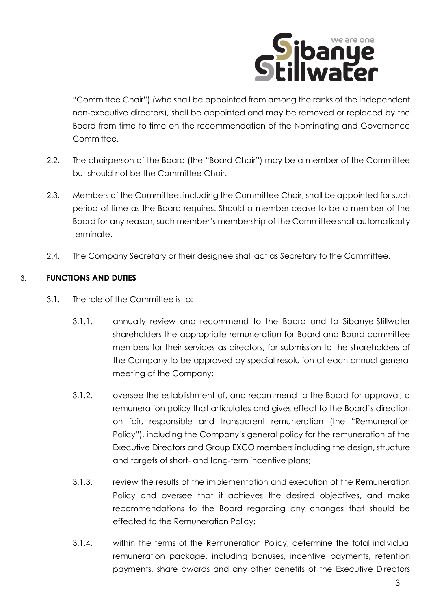

"Committee Chair") (who shall be appointed from among the ranks of the independent non-executive directors), shall be appointed and may be removed or replaced by the Board from time to time on the recommendation of the Nominating and Governance Committee.

- 2.2. The chairperson of the Board (the "Board Chair") may be a member of the Committee but should not be the Committee Chair.
- 2.3. Members of the Committee, including the Committee Chair, shall be appointed for such period of time as the Board requires. Should a member cease to be a member of the Board for any reason, such member's membership of the Committee shall automatically terminate.
- 2.4. The Company Secretary or their designee shall act as Secretary to the Committee.

## 3. **FUNCTIONS AND DUTIES**

- 3.1. The role of the Committee is to:
	- 3.1.1. annually review and recommend to the Board and to Sibanye-Stillwater shareholders the appropriate remuneration for Board and Board committee members for their services as directors, for submission to the shareholders of the Company to be approved by special resolution at each annual general meeting of the Company;
	- 3.1.2. oversee the establishment of, and recommend to the Board for approval, a remuneration policy that articulates and gives effect to the Board's direction on fair, responsible and transparent remuneration (the "Remuneration Policy"), including the Company's general policy for the remuneration of the Executive Directors and Group EXCO members including the design, structure and targets of short- and long-term incentive plans;
	- 3.1.3. review the results of the implementation and execution of the Remuneration Policy and oversee that it achieves the desired objectives, and make recommendations to the Board regarding any changes that should be effected to the Remuneration Policy;
	- 3.1.4. within the terms of the Remuneration Policy, determine the total individual remuneration package, including bonuses, incentive payments, retention payments, share awards and any other benefits of the Executive Directors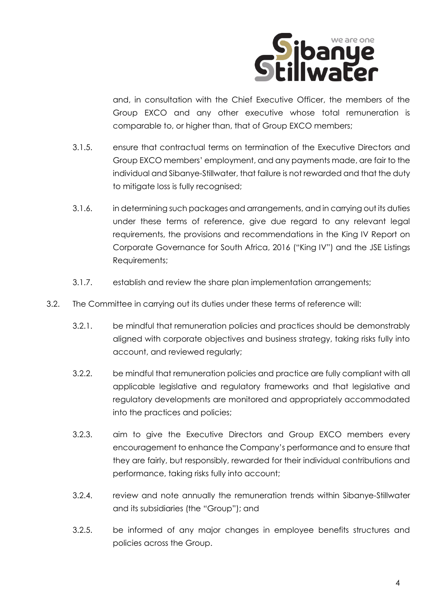

and, in consultation with the Chief Executive Officer, the members of the Group EXCO and any other executive whose total remuneration is comparable to, or higher than, that of Group EXCO members;

- 3.1.5. ensure that contractual terms on termination of the Executive Directors and Group EXCO members' employment, and any payments made, are fair to the individual and Sibanye-Stillwater, that failure is not rewarded and that the duty to mitigate loss is fully recognised;
- 3.1.6. in determining such packages and arrangements, and in carrying out its duties under these terms of reference, give due regard to any relevant legal requirements, the provisions and recommendations in the King IV Report on Corporate Governance for South Africa, 2016 ("King IV") and the JSE Listings Requirements;
- 3.1.7. establish and review the share plan implementation arrangements;
- 3.2. The Committee in carrying out its duties under these terms of reference will:
	- 3.2.1. be mindful that remuneration policies and practices should be demonstrably aligned with corporate objectives and business strategy, taking risks fully into account, and reviewed regularly;
	- 3.2.2. be mindful that remuneration policies and practice are fully compliant with all applicable legislative and regulatory frameworks and that legislative and regulatory developments are monitored and appropriately accommodated into the practices and policies;
	- 3.2.3. aim to give the Executive Directors and Group EXCO members every encouragement to enhance the Company's performance and to ensure that they are fairly, but responsibly, rewarded for their individual contributions and performance, taking risks fully into account;
	- 3.2.4. review and note annually the remuneration trends within Sibanye-Stillwater and its subsidiaries (the "Group"); and
	- 3.2.5. be informed of any major changes in employee benefits structures and policies across the Group.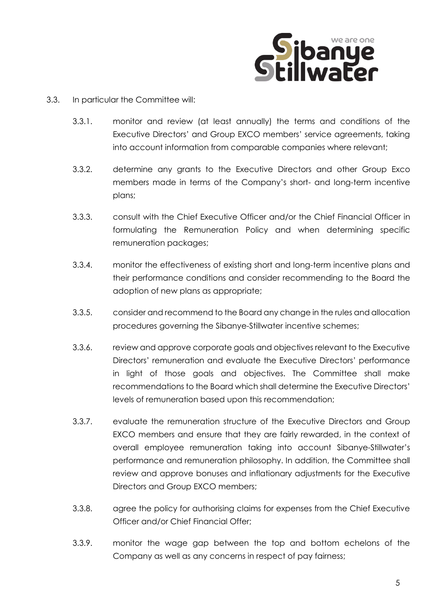

- 3.3. In particular the Committee will:
	- 3.3.1. monitor and review (at least annually) the terms and conditions of the Executive Directors' and Group EXCO members' service agreements, taking into account information from comparable companies where relevant;
	- 3.3.2. determine any grants to the Executive Directors and other Group Exco members made in terms of the Company's short- and long-term incentive plans;
	- 3.3.3. consult with the Chief Executive Officer and/or the Chief Financial Officer in formulating the Remuneration Policy and when determining specific remuneration packages;
	- 3.3.4. monitor the effectiveness of existing short and long-term incentive plans and their performance conditions and consider recommending to the Board the adoption of new plans as appropriate;
	- 3.3.5. consider and recommend to the Board any change in the rules and allocation procedures governing the Sibanye-Stillwater incentive schemes;
	- 3.3.6. review and approve corporate goals and objectives relevant to the Executive Directors' remuneration and evaluate the Executive Directors' performance in light of those goals and objectives. The Committee shall make recommendations to the Board which shall determine the Executive Directors' levels of remuneration based upon this recommendation;
	- 3.3.7. evaluate the remuneration structure of the Executive Directors and Group EXCO members and ensure that they are fairly rewarded, in the context of overall employee remuneration taking into account Sibanye-Stillwater's performance and remuneration philosophy. In addition, the Committee shall review and approve bonuses and inflationary adjustments for the Executive Directors and Group EXCO members;
	- 3.3.8. agree the policy for authorising claims for expenses from the Chief Executive Officer and/or Chief Financial Offer;
	- 3.3.9. monitor the wage gap between the top and bottom echelons of the Company as well as any concerns in respect of pay fairness;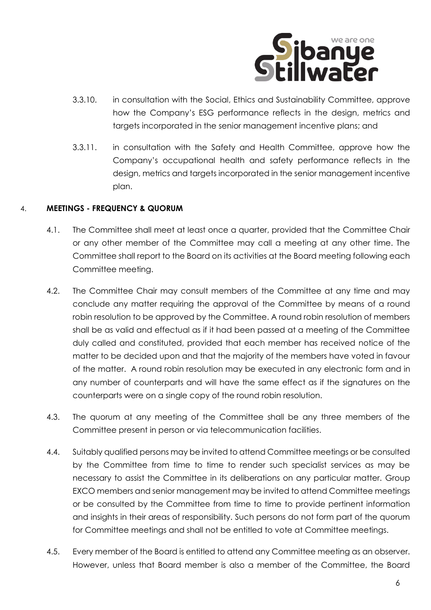

- 3.3.10. in consultation with the Social, Ethics and Sustainability Committee, approve how the Company's ESG performance reflects in the design, metrics and targets incorporated in the senior management incentive plans; and
- 3.3.11. in consultation with the Safety and Health Committee, approve how the Company's occupational health and safety performance reflects in the design, metrics and targets incorporated in the senior management incentive plan.

### 4. **MEETINGS - FREQUENCY & QUORUM**

- 4.1. The Committee shall meet at least once a quarter, provided that the Committee Chair or any other member of the Committee may call a meeting at any other time. The Committee shall report to the Board on its activities at the Board meeting following each Committee meeting.
- 4.2. The Committee Chair may consult members of the Committee at any time and may conclude any matter requiring the approval of the Committee by means of a round robin resolution to be approved by the Committee. A round robin resolution of members shall be as valid and effectual as if it had been passed at a meeting of the Committee duly called and constituted, provided that each member has received notice of the matter to be decided upon and that the majority of the members have voted in favour of the matter. A round robin resolution may be executed in any electronic form and in any number of counterparts and will have the same effect as if the signatures on the counterparts were on a single copy of the round robin resolution.
- 4.3. The quorum at any meeting of the Committee shall be any three members of the Committee present in person or via telecommunication facilities.
- 4.4. Suitably qualified persons may be invited to attend Committee meetings or be consulted by the Committee from time to time to render such specialist services as may be necessary to assist the Committee in its deliberations on any particular matter. Group EXCO members and senior management may be invited to attend Committee meetings or be consulted by the Committee from time to time to provide pertinent information and insights in their areas of responsibility. Such persons do not form part of the quorum for Committee meetings and shall not be entitled to vote at Committee meetings.
- 4.5. Every member of the Board is entitled to attend any Committee meeting as an observer. However, unless that Board member is also a member of the Committee, the Board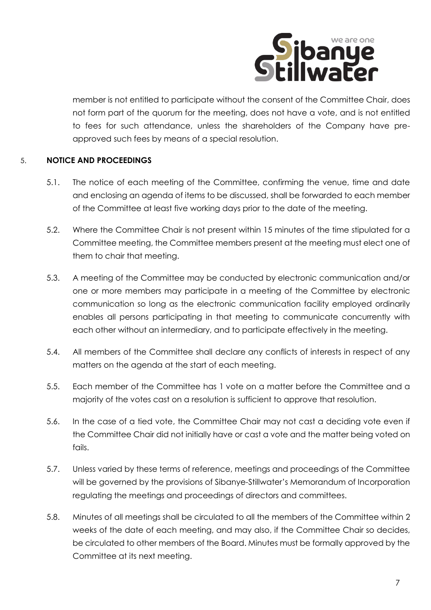

member is not entitled to participate without the consent of the Committee Chair, does not form part of the quorum for the meeting, does not have a vote, and is not entitled to fees for such attendance, unless the shareholders of the Company have preapproved such fees by means of a special resolution.

## 5. **NOTICE AND PROCEEDINGS**

- 5.1. The notice of each meeting of the Committee, confirming the venue, time and date and enclosing an agenda of items to be discussed, shall be forwarded to each member of the Committee at least five working days prior to the date of the meeting.
- 5.2. Where the Committee Chair is not present within 15 minutes of the time stipulated for a Committee meeting, the Committee members present at the meeting must elect one of them to chair that meeting.
- 5.3. A meeting of the Committee may be conducted by electronic communication and/or one or more members may participate in a meeting of the Committee by electronic communication so long as the electronic communication facility employed ordinarily enables all persons participating in that meeting to communicate concurrently with each other without an intermediary, and to participate effectively in the meeting.
- 5.4. All members of the Committee shall declare any conflicts of interests in respect of any matters on the agenda at the start of each meeting.
- 5.5. Each member of the Committee has 1 vote on a matter before the Committee and a majority of the votes cast on a resolution is sufficient to approve that resolution.
- 5.6. In the case of a tied vote, the Committee Chair may not cast a deciding vote even if the Committee Chair did not initially have or cast a vote and the matter being voted on fails.
- 5.7. Unless varied by these terms of reference, meetings and proceedings of the Committee will be governed by the provisions of Sibanye-Stillwater's Memorandum of Incorporation regulating the meetings and proceedings of directors and committees.
- 5.8. Minutes of all meetings shall be circulated to all the members of the Committee within 2 weeks of the date of each meeting, and may also, if the Committee Chair so decides, be circulated to other members of the Board. Minutes must be formally approved by the Committee at its next meeting.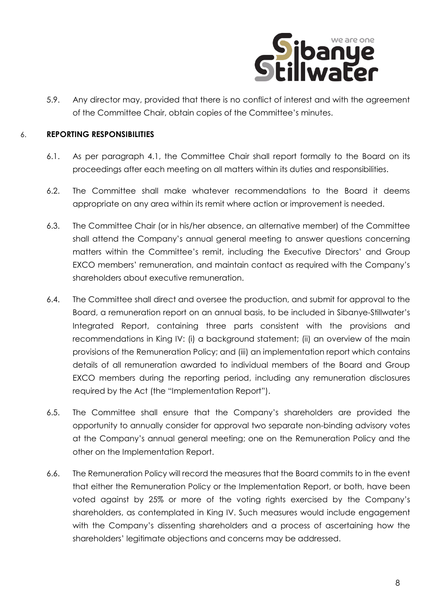

5.9. Any director may, provided that there is no conflict of interest and with the agreement of the Committee Chair, obtain copies of the Committee's minutes.

#### 6. **REPORTING RESPONSIBILITIES**

- 6.1. As per paragraph 4.1, the Committee Chair shall report formally to the Board on its proceedings after each meeting on all matters within its duties and responsibilities.
- 6.2. The Committee shall make whatever recommendations to the Board it deems appropriate on any area within its remit where action or improvement is needed.
- 6.3. The Committee Chair (or in his/her absence, an alternative member) of the Committee shall attend the Company's annual general meeting to answer questions concerning matters within the Committee's remit, including the Executive Directors' and Group EXCO members' remuneration, and maintain contact as required with the Company's shareholders about executive remuneration.
- 6.4. The Committee shall direct and oversee the production, and submit for approval to the Board, a remuneration report on an annual basis, to be included in Sibanye-Stillwater's Integrated Report, containing three parts consistent with the provisions and recommendations in King IV: (i) a background statement; (ii) an overview of the main provisions of the Remuneration Policy; and (iii) an implementation report which contains details of all remuneration awarded to individual members of the Board and Group EXCO members during the reporting period, including any remuneration disclosures required by the Act (the "Implementation Report").
- 6.5. The Committee shall ensure that the Company's shareholders are provided the opportunity to annually consider for approval two separate non-binding advisory votes at the Company's annual general meeting; one on the Remuneration Policy and the other on the Implementation Report.
- 6.6. The Remuneration Policy will record the measures that the Board commits to in the event that either the Remuneration Policy or the Implementation Report, or both, have been voted against by 25% or more of the voting rights exercised by the Company's shareholders, as contemplated in King IV. Such measures would include engagement with the Company's dissenting shareholders and a process of ascertaining how the shareholders' legitimate objections and concerns may be addressed.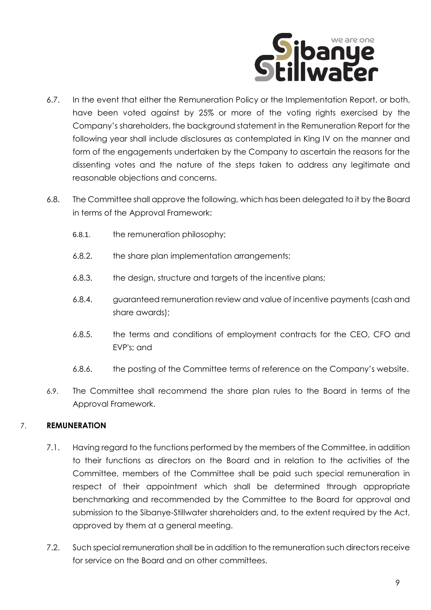

- 6.7. In the event that either the Remuneration Policy or the Implementation Report, or both, have been voted against by 25% or more of the voting rights exercised by the Company's shareholders, the background statement in the Remuneration Report for the following year shall include disclosures as contemplated in King IV on the manner and form of the engagements undertaken by the Company to ascertain the reasons for the dissenting votes and the nature of the steps taken to address any legitimate and reasonable objections and concerns.
- 6.8. The Committee shall approve the following, which has been delegated to it by the Board in terms of the Approval Framework:
	- 6.8.1. the remuneration philosophy;
	- 6.8.2. the share plan implementation arrangements;
	- 6.8.3. the design, structure and targets of the incentive plans;
	- 6.8.4. guaranteed remuneration review and value of incentive payments (cash and share awards);
	- 6.8.5. the terms and conditions of employment contracts for the CEO, CFO and EVP's; and
	- 6.8.6. the posting of the Committee terms of reference on the Company's website.
- 6.9. The Committee shall recommend the share plan rules to the Board in terms of the Approval Framework.

## 7. **REMUNERATION**

- 7.1. Having regard to the functions performed by the members of the Committee, in addition to their functions as directors on the Board and in relation to the activities of the Committee, members of the Committee shall be paid such special remuneration in respect of their appointment which shall be determined through appropriate benchmarking and recommended by the Committee to the Board for approval and submission to the Sibanye-Stillwater shareholders and, to the extent required by the Act, approved by them at a general meeting.
- 7.2. Such special remuneration shall be in addition to the remuneration such directors receive for service on the Board and on other committees.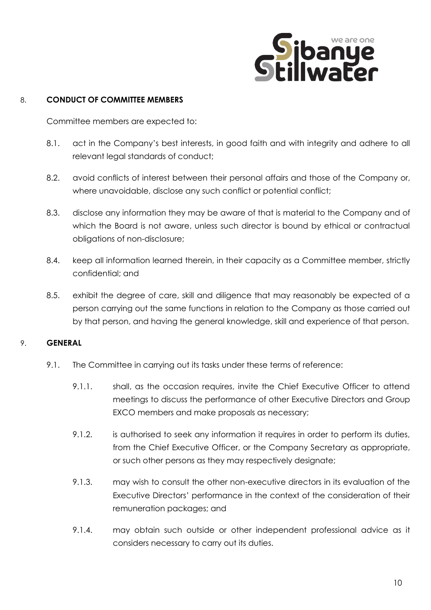

### 8. **CONDUCT OF COMMITTEE MEMBERS**

Committee members are expected to:

- 8.1. act in the Company's best interests, in good faith and with integrity and adhere to all relevant legal standards of conduct;
- 8.2. avoid conflicts of interest between their personal affairs and those of the Company or, where unavoidable, disclose any such conflict or potential conflict;
- 8.3. disclose any information they may be aware of that is material to the Company and of which the Board is not aware, unless such director is bound by ethical or contractual obligations of non-disclosure;
- 8.4. keep all information learned therein, in their capacity as a Committee member, strictly confidential; and
- 8.5. exhibit the degree of care, skill and diligence that may reasonably be expected of a person carrying out the same functions in relation to the Company as those carried out by that person, and having the general knowledge, skill and experience of that person.

#### 9. **GENERAL**

- 9.1. The Committee in carrying out its tasks under these terms of reference:
	- 9.1.1. shall, as the occasion requires, invite the Chief Executive Officer to attend meetings to discuss the performance of other Executive Directors and Group EXCO members and make proposals as necessary;
	- 9.1.2. is authorised to seek any information it requires in order to perform its duties, from the Chief Executive Officer, or the Company Secretary as appropriate, or such other persons as they may respectively designate;
	- 9.1.3. may wish to consult the other non-executive directors in its evaluation of the Executive Directors' performance in the context of the consideration of their remuneration packages; and
	- 9.1.4. may obtain such outside or other independent professional advice as it considers necessary to carry out its duties.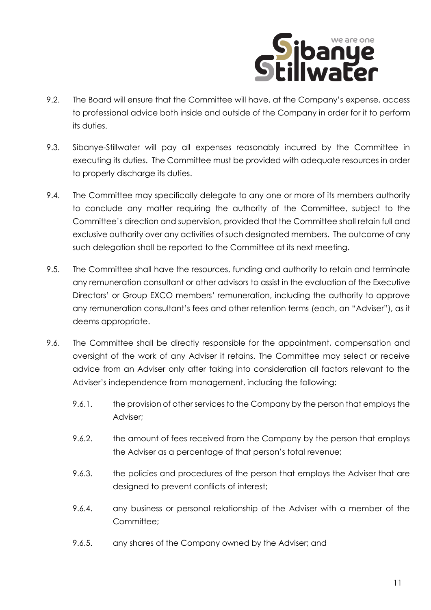

- 9.2. The Board will ensure that the Committee will have, at the Company's expense, access to professional advice both inside and outside of the Company in order for it to perform its duties.
- 9.3. Sibanye-Stillwater will pay all expenses reasonably incurred by the Committee in executing its duties. The Committee must be provided with adequate resources in order to properly discharge its duties.
- 9.4. The Committee may specifically delegate to any one or more of its members authority to conclude any matter requiring the authority of the Committee, subject to the Committee's direction and supervision, provided that the Committee shall retain full and exclusive authority over any activities of such designated members. The outcome of any such delegation shall be reported to the Committee at its next meeting.
- 9.5. The Committee shall have the resources, funding and authority to retain and terminate any remuneration consultant or other advisors to assist in the evaluation of the Executive Directors' or Group EXCO members' remuneration, including the authority to approve any remuneration consultant's fees and other retention terms (each, an "Adviser"), as it deems appropriate.
- 9.6. The Committee shall be directly responsible for the appointment, compensation and oversight of the work of any Adviser it retains. The Committee may select or receive advice from an Adviser only after taking into consideration all factors relevant to the Adviser's independence from management, including the following:
	- 9.6.1. the provision of other services to the Company by the person that employs the Adviser;
	- 9.6.2. the amount of fees received from the Company by the person that employs the Adviser as a percentage of that person's total revenue;
	- 9.6.3. the policies and procedures of the person that employs the Adviser that are designed to prevent conflicts of interest;
	- 9.6.4. any business or personal relationship of the Adviser with a member of the Committee;
	- 9.6.5. any shares of the Company owned by the Adviser; and